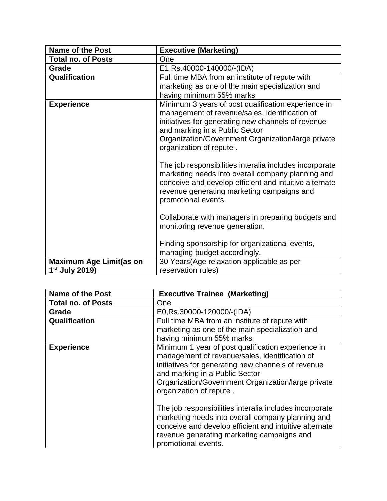| <b>Name of the Post</b>                            | <b>Executive (Marketing)</b>                                                                                                                                                                                                                                                   |
|----------------------------------------------------|--------------------------------------------------------------------------------------------------------------------------------------------------------------------------------------------------------------------------------------------------------------------------------|
| <b>Total no. of Posts</b>                          | One                                                                                                                                                                                                                                                                            |
| Grade                                              | E1, Rs.40000-140000/-(IDA)                                                                                                                                                                                                                                                     |
| Qualification                                      | Full time MBA from an institute of repute with<br>marketing as one of the main specialization and<br>having minimum 55% marks                                                                                                                                                  |
| <b>Experience</b>                                  | Minimum 3 years of post qualification experience in<br>management of revenue/sales, identification of<br>initiatives for generating new channels of revenue<br>and marking in a Public Sector<br>Organization/Government Organization/large private<br>organization of repute. |
|                                                    | The job responsibilities interalia includes incorporate<br>marketing needs into overall company planning and<br>conceive and develop efficient and intuitive alternate<br>revenue generating marketing campaigns and<br>promotional events.                                    |
|                                                    | Collaborate with managers in preparing budgets and<br>monitoring revenue generation.                                                                                                                                                                                           |
|                                                    | Finding sponsorship for organizational events,<br>managing budget accordingly.                                                                                                                                                                                                 |
| <b>Maximum Age Limit(as on</b><br>$1st$ July 2019) | 30 Years (Age relaxation applicable as per<br>reservation rules)                                                                                                                                                                                                               |

| <b>Name of the Post</b>   | <b>Executive Trainee (Marketing)</b>                                                                                                                                                                                                                                          |
|---------------------------|-------------------------------------------------------------------------------------------------------------------------------------------------------------------------------------------------------------------------------------------------------------------------------|
| <b>Total no. of Posts</b> | One                                                                                                                                                                                                                                                                           |
| Grade                     | E0, Rs.30000-120000/-(IDA)                                                                                                                                                                                                                                                    |
| Qualification             | Full time MBA from an institute of repute with                                                                                                                                                                                                                                |
|                           | marketing as one of the main specialization and<br>having minimum 55% marks                                                                                                                                                                                                   |
| <b>Experience</b>         | Minimum 1 year of post qualification experience in<br>management of revenue/sales, identification of<br>initiatives for generating new channels of revenue<br>and marking in a Public Sector<br>Organization/Government Organization/large private<br>organization of repute. |
|                           | The job responsibilities interalia includes incorporate<br>marketing needs into overall company planning and<br>conceive and develop efficient and intuitive alternate<br>revenue generating marketing campaigns and<br>promotional events.                                   |